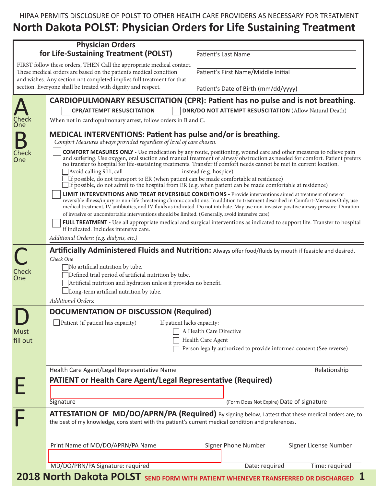HIPAA PERMITS DISCLOSURE OF POLST TO OTHER HEALTH CARE PROVIDERS AS NECESSARY FOR TREATMENT **North Dakota POLST: Physician Orders for Life Sustaining Treatment**

|              | <b>Physician Orders</b><br>for Life-Sustaining Treatment (POLST)                                                                                                                                                                                                                                                                                                                                                                                                                                                                                                                                                                          | Patient's Last Name                                                 |                       |  |
|--------------|-------------------------------------------------------------------------------------------------------------------------------------------------------------------------------------------------------------------------------------------------------------------------------------------------------------------------------------------------------------------------------------------------------------------------------------------------------------------------------------------------------------------------------------------------------------------------------------------------------------------------------------------|---------------------------------------------------------------------|-----------------------|--|
|              | FIRST follow these orders, THEN Call the appropriate medical contact.                                                                                                                                                                                                                                                                                                                                                                                                                                                                                                                                                                     |                                                                     |                       |  |
|              | These medical orders are based on the patient's medical condition<br>and wishes. Any section not completed implies full treatment for that                                                                                                                                                                                                                                                                                                                                                                                                                                                                                                | Patient's First Name/Middle Initial                                 |                       |  |
|              | section. Everyone shall be treated with dignity and respect.                                                                                                                                                                                                                                                                                                                                                                                                                                                                                                                                                                              | Patient's Date of Birth (mm/dd/yyyy)                                |                       |  |
|              | CARDIOPULMONARY RESUSCITATION (CPR): Patient has no pulse and is not breathing.                                                                                                                                                                                                                                                                                                                                                                                                                                                                                                                                                           |                                                                     |                       |  |
|              | <b>CPR/ATTEMPT RESUSCITATION</b>                                                                                                                                                                                                                                                                                                                                                                                                                                                                                                                                                                                                          | <b>DNR/DO NOT ATTEMPT RESUSCITATION (Allow Natural Death)</b>       |                       |  |
| Check<br>One | When not in cardiopulmonary arrest, follow orders in B and C.                                                                                                                                                                                                                                                                                                                                                                                                                                                                                                                                                                             |                                                                     |                       |  |
|              | <b>MEDICAL INTERVENTIONS: Patient has pulse and/or is breathing.</b><br>Comfort Measures always provided regardless of level of care chosen.                                                                                                                                                                                                                                                                                                                                                                                                                                                                                              |                                                                     |                       |  |
| Check<br>One | <b>COMFORT MEASURES ONLY</b> - Use medication by any route, positioning, wound care and other measures to relieve pain<br>and suffering. Use oxygen, oral suction and manual treatment of airway obstruction as needed for comfort. Patient prefers<br>no transfer to hospital for life-sustaining treatments. Transfer if comfort needs cannot be met in current location.<br>Avoid calling 911, call<br>instead (e.g. hospice)<br>If possible, do not transport to ER (when patient can be made comfortable at residence)<br>If possible, do not admit to the hospital from ER (e.g. when patient can be made comfortable at residence) |                                                                     |                       |  |
|              | <b>LIMIT INTERVENTIONS AND TREAT REVERSIBLE CONDITIONS</b> - Provide interventions aimed at treatment of new or<br>reversible illness/injury or non-life threatening chronic conditions. In addition to treatment described in Comfort-Measures Only, use<br>medical treatment, IV antibiotics, and IV fluids as indicated. Do not intubate. May use non-invasive positive airway pressure. Duration<br>of invasive or uncomfortable interventions should be limited. (Generally, avoid intensive care)                                                                                                                                   |                                                                     |                       |  |
|              | FULL TREATMENT - Use all appropriate medical and surgical interventions as indicated to support life. Transfer to hospital<br>if indicated. Includes intensive care.                                                                                                                                                                                                                                                                                                                                                                                                                                                                      |                                                                     |                       |  |
|              | Additional Orders: (e.g. dialysis, etc.)                                                                                                                                                                                                                                                                                                                                                                                                                                                                                                                                                                                                  |                                                                     |                       |  |
| Check<br>One | Artificially Administered Fluids and Nutrition: Always offer food/fluids by mouth if feasible and desired.<br>Check One<br>No artificial nutrition by tube.<br>Defined trial period of artificial nutrition by tube.<br>Artificial nutrition and hydration unless it provides no benefit.<br>Long-term artificial nutrition by tube.<br>Additional Orders:                                                                                                                                                                                                                                                                                |                                                                     |                       |  |
|              | <b>DOCUMENTATION OF DISCUSSION (Required)</b>                                                                                                                                                                                                                                                                                                                                                                                                                                                                                                                                                                                             |                                                                     |                       |  |
|              | Patient (if patient has capacity)<br>If patient lacks capacity:                                                                                                                                                                                                                                                                                                                                                                                                                                                                                                                                                                           |                                                                     |                       |  |
| <b>Must</b>  |                                                                                                                                                                                                                                                                                                                                                                                                                                                                                                                                                                                                                                           | A Health Care Directive                                             |                       |  |
| fill out     |                                                                                                                                                                                                                                                                                                                                                                                                                                                                                                                                                                                                                                           | Health Care Agent                                                   |                       |  |
|              |                                                                                                                                                                                                                                                                                                                                                                                                                                                                                                                                                                                                                                           | Person legally authorized to provide informed consent (See reverse) |                       |  |
|              | Health Care Agent/Legal Representative Name                                                                                                                                                                                                                                                                                                                                                                                                                                                                                                                                                                                               |                                                                     | Relationship          |  |
|              | <b>PATIENT or Health Care Agent/Legal Representative (Required)</b>                                                                                                                                                                                                                                                                                                                                                                                                                                                                                                                                                                       |                                                                     |                       |  |
|              |                                                                                                                                                                                                                                                                                                                                                                                                                                                                                                                                                                                                                                           |                                                                     |                       |  |
|              | Signature                                                                                                                                                                                                                                                                                                                                                                                                                                                                                                                                                                                                                                 | (Form Does Not Expire) Date of signature                            |                       |  |
|              | ATTESTATION OF MD/DO/APRN/PA (Required) By signing below, I attest that these medical orders are, to<br>the best of my knowledge, consistent with the patient's current medical condition and preferences.                                                                                                                                                                                                                                                                                                                                                                                                                                |                                                                     |                       |  |
|              | Print Name of MD/DO/APRN/PA Name                                                                                                                                                                                                                                                                                                                                                                                                                                                                                                                                                                                                          | Signer Phone Number                                                 | Signer License Number |  |
|              | MD/DO/PRN/PA Signature: required                                                                                                                                                                                                                                                                                                                                                                                                                                                                                                                                                                                                          | Date: required                                                      | Time: required        |  |
|              | 2018 North Dakota POLST SEND FORM WITH PATIENT WHENEVER TRANSFERRED OR DISCHARGED                                                                                                                                                                                                                                                                                                                                                                                                                                                                                                                                                         |                                                                     |                       |  |